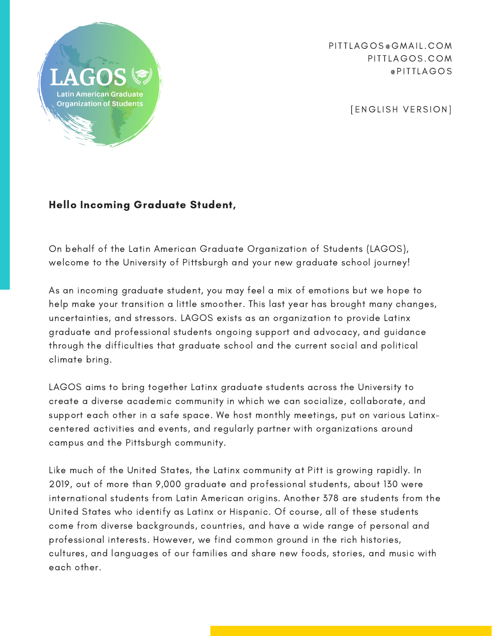

PITTI AGOS @GMAIL.COM PITTLAGOS.COM @ PITTLAGOS

[ENGLISH VERSION]

## Hello Incoming Graduate Student,

On behalf of the Latin American Graduate Organization of Students (LAGOS), welcome to the University of Pittsburgh and your new graduate school journey!

As an incoming graduate student, you may feel a mix of emotions but we hope to help make your transition a little smoother. This last year has brought many changes, uncertainties, and stressors. LAGOS exists as an organization to provide Latinx graduate and professional students ongoing support and advocacy, and guidance through the difficulties that graduate school and the current social and political climate bring.

LAGOS aims to bring together Latinx graduate students across the University to create a diverse academic community in which we can socialize, collaborate, and support each other in a safe space. We host monthly meetings, put on various Latinxcentered activities and events, and regularly partner with organizations around campus and the Pittsburgh community.

Like much of the United States, the Latinx community at Pitt is growing rapidly. In 2019, out of more than 9,000 graduate and professional students, about 130 were international students from Latin American origins. Another 378 are students from the United States who identify as Latinx or Hispanic. Of course, all of these students come from diverse backgrounds, countries, and have a wide range of personal and professional interests. However, we find common ground in the rich histories, cultures, and languages of our families and share new foods, stories, and music with each other.